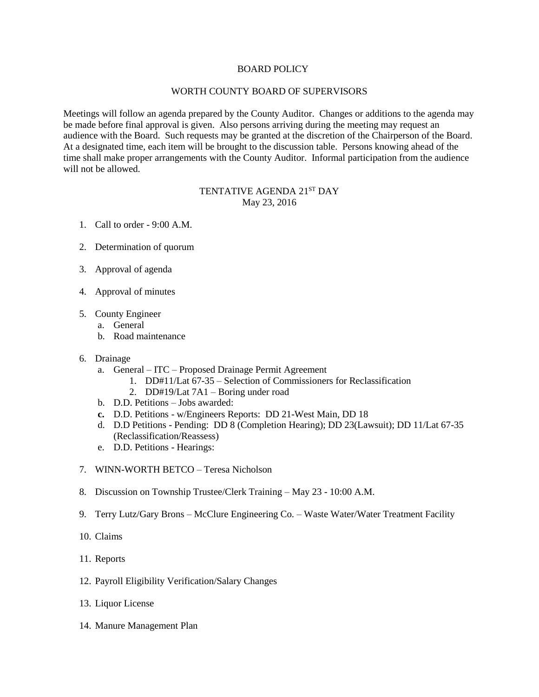## BOARD POLICY

## WORTH COUNTY BOARD OF SUPERVISORS

Meetings will follow an agenda prepared by the County Auditor. Changes or additions to the agenda may be made before final approval is given. Also persons arriving during the meeting may request an audience with the Board. Such requests may be granted at the discretion of the Chairperson of the Board. At a designated time, each item will be brought to the discussion table. Persons knowing ahead of the time shall make proper arrangements with the County Auditor. Informal participation from the audience will not be allowed.

## TENTATIVE AGENDA 21ST DAY May 23, 2016

- 1. Call to order 9:00 A.M.
- 2. Determination of quorum
- 3. Approval of agenda
- 4. Approval of minutes
- 5. County Engineer
	- a. General
	- b. Road maintenance
- 6. Drainage
	- a. General ITC Proposed Drainage Permit Agreement
		- 1. DD#11/Lat 67-35 Selection of Commissioners for Reclassification
		- 2. DD#19/Lat 7A1 Boring under road
	- b. D.D. Petitions Jobs awarded:
	- **c.** D.D. Petitions w/Engineers Reports: DD 21-West Main, DD 18
	- d. D.D Petitions Pending: DD 8 (Completion Hearing); DD 23(Lawsuit); DD 11/Lat 67-35 (Reclassification/Reassess)
	- e. D.D. Petitions Hearings:
- 7. WINN-WORTH BETCO Teresa Nicholson
- 8. Discussion on Township Trustee/Clerk Training May 23 10:00 A.M.
- 9. Terry Lutz/Gary Brons McClure Engineering Co. Waste Water/Water Treatment Facility
- 10. Claims
- 11. Reports
- 12. Payroll Eligibility Verification/Salary Changes
- 13. Liquor License
- 14. Manure Management Plan